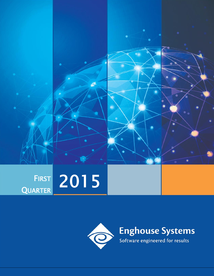

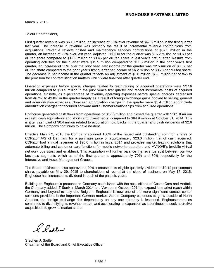March 5, 2015

To our Shareholders,

First quarter revenue was \$63.0 million, an increase of 33% over revenue of \$47.5 million in the first quarter last year. The increase in revenue was primarily the result of incremental revenue contributions from acquisitions. Revenue reflects hosted and maintenance services contributions of \$32.3 million in the quarter, an increase of 29% over last year. Adjusted EBITDA for the quarter was \$16.2 million or \$0.60 per diluted share compared to \$12.2 million or \$0.45 per diluted share in last year's first quarter. Results from operating activities for the quarter were \$15.5 million compared to \$11.5 million in the prior year's first quarter, an increase of 35% over the prior year. Net income for the quarter was \$2.5 million or \$0.09 per diluted share compared to the prior year's first quarter net income of \$6.2 million or \$0.23 per diluted share. The decrease in net income in the quarter reflects an adjustment of \$8.8 million (\$5.0 million net of tax) to the provision for contract litigation matters which were finalized after quarter end.

Operating expenses before special charges related to restructuring of acquired operations were \$27.6 million compared to \$21.9 million in the prior year's first quarter and reflect incremental costs of acquired operations. Of note, as a percentage of revenue, operating expenses before special charges decreased from 46.2% to 43.8% in the quarter largely as a result of foreign exchange gains booked to selling, general and administrative expenses. Non-cash amortization charges in the quarter were \$5.4 million and include amortization charges for acquired software and customer relationships from acquired operations.

Enghouse generated cash flows from operations of \$17.6 million and closed the quarter with \$101.8 million in cash, cash equivalents and short-term investments, compared to \$84.9 million at October 31, 2014. This is after cash paid of \$0.4 million related to acquisition hold backs in the quarter and cash dividends of \$2.6 million. The Company continues to have no debt.

Effective March 2, 2015 the Company acquired 100% of the issued and outstanding common shares of CDRator A/S of Denmark for a purchase price of approximately \$23.0 million, net of cash acquired. CDRator had annual revenues of \$20.0 million in fiscal 2014 and provides market leading solutions that automate billing and customer care functions for mobile networks operators and MVNO/E's (mobile virtual network operators and enablers). This acquisition will further balance the revenue split between our two business segments which as of the first quarter is approximately 70% and 30% respectively for the Interactive and Asset Management Groups.

The Board of Directors also approved a 20% increase in its eligible quarterly dividend to \$0.12 per common share, payable on May 29, 2015 to shareholders of record at the close of business on May 15, 2015. Enghouse has increased its dividend in each of the past six years.

Building on Enghouse's presence in Germany established with the acquisitions of CosmoCom and Andtek, the Company added IT Sonix in March 2014 and Voxtron in October 2014 to expand its market reach within Germany and beyond to Italy and Belgium. Enghouse is now one of the more significant contact center solutions providers in the important German market. As the Company continues to grow outside of North America, the foreign exchange risk dependency on any one currency is lessened. Enghouse remains committed to diversifying its revenue stream and accelerating its expansion as it continues to seek accretive acquisitions to grow its market share.

Pladler

Stephen J. Sadler Chairman of the Board and Chief Executive Officer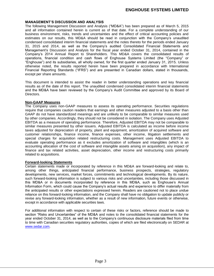# **ENGHOUSE SYSTEMS LIMITED**

## **MANAGEMENT'S DISCUSSION AND ANALYSIS**

The following Management Discussion and Analysis ("MD&A") has been prepared as of March 5, 2015 and all information contained herein is current as of that date. For a complete understanding of our business environment, risks, trends and uncertainties and the effect of critical accounting policies and estimates on our results, this MD&A should be read in conjunction with the Company's unaudited condensed consolidated interim financial statements and the notes thereto for the periods ended January 31, 2015 and 2014, as well as the Company's audited Consolidated Financial Statements and Management's Discussion and Analysis for the fiscal year ended October 31, 2014, contained in the Company's 2014 Annual Report to Shareholders. This MD&A covers the consolidated results of operations, financial condition and cash flows of Enghouse Systems Limited (the "Company" or "Enghouse") and its subsidiaries, all wholly owned, for the first quarter ended January 31, 2015. Unless otherwise noted, the results reported herein have been prepared in accordance with International Financial Reporting Standards ("IFRS") and are presented in Canadian dollars, stated in thousands, except per share amounts.

This document is intended to assist the reader in better understanding operations and key financial results as of the date of this report. The unaudited condensed consolidated interim financial statements and the MD&A have been reviewed by the Company's Audit Committee and approved by its Board of Directors.

# **Non-GAAP Measures**

The Company uses non-GAAP measures to assess its operating performance. Securities regulations require that companies caution readers that earnings and other measures adjusted to a basis other than GAAP do not have standardized meanings and are unlikely to be comparable to similar measures used by other companies. Accordingly, they should not be considered in isolation. The Company uses Adjusted EBITDA as a measure of operating performance. Therefore, Adjusted EBITDA may not be comparable to similar measures presented by other issuers. Adjusted EBITDA is calculated as income before income taxes adjusted for depreciation of property, plant and equipment, amortization of acquired software and customer relationships, finance income, finance expenses, other income, litigation settlements and special charges for acquisition related restructuring costs. Management uses Adjusted EBITDA to evaluate operating performance as it excludes amortization of software and intangibles (which is an accounting allocation of the cost of software and intangible assets arising on acquisition), any impact of finance and tax related activities, asset depreciation, other income and restructuring costs primarily related to acquisitions.

## **Forward-looking Statements**

Certain statements made or incorporated by reference in this MD&A are forward-looking and relate to, among other things, anticipated financial performance, business prospects, strategies, regulatory developments, new services, market forces, commitments and technological developments. By its nature, such forward-looking information is subject to various risks and uncertainties, including those discussed in this MD&A or in documents incorporated by reference in this MD&A, such as Enghouse's Annual Information Form, which could cause the Company's actual results and experience to differ materially from the anticipated results or other expectations expressed herein. Readers are cautioned not to place undue reliance on this forward-looking information, and the Company shall have no obligation to update publicly or revise any forward-looking information, whether as a result of new information, future events or otherwise, except in accordance with applicable securities laws.

For additional information with respect to certain of these risks or factors, reference should be made to section "Risks and Uncertainties" of the MD&A and notes to the consolidated financial statements for the year ended October 31, 2014, as well as to the Company's continuous disclosure materials filed from time to time with Canadian securities regulatory authorities, copies of which are filed electronically on SEDAR at [www.sedar.com.](http://www.sedar.com/)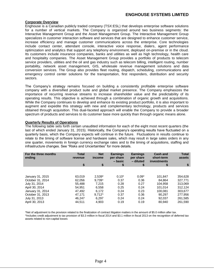# **Corporate Overview**

Enghouse is a Canadian publicly traded company (TSX:ESL) that develops enterprise software solutions for a number of vertical markets. The Company is organized around two business segments: the Interactive Management Group and the Asset Management Group. The Interactive Management Group specializes in customer interaction software and services that are designed to enhance customer service, increase efficiency and manage customer communications across the enterprise. Core technologies include contact center, attendant console, interactive voice response, dialers, agent performance optimization and analytics that support any telephony environment, deployed on-premise or in the cloud. Its customers include insurance companies, banks and utilities as well as high technology, health care and hospitality companies. The Asset Management Group provides a portfolio of products to telecom service providers, utilities and the oil and gas industry such as telecom billing, intelligent routing, number portability, network asset management, GIS, wholesale revenue management solutions and data conversion services. The Group also provides fleet routing, dispatch, scheduling, communications and emergency control center solutions for the transportation, first responders, distribution and security sectors.

The Company's strategy remains focused on building a consistently profitable enterprise software company with a diversified product suite and global market presence. The Company emphasizes the importance of recurring revenue streams to increase shareholder value and the predictability of its operating results. This objective is achieved through a combination of organic growth and acquisitions. While the Company continues to develop and enhance its existing product portfolio, it is also important to augment and expedite this strategy with new and complementary technology, products and services obtained through acquisition. This dual-faceted approach will enable the Company to provide a broader spectrum of products and services to its customer base more quickly than through organic means alone.

# **Quarterly Results of Operations**

The following table sets forth certain unaudited information for each of the eight most recent quarters (the last of which ended January 31, 2015). Historically, the Company's operating results have fluctuated on a quarterly basis, which the Company expects will continue in the future. Fluctuations in results continue to relate to the timing of software license and hardware sales, which may result in large sales orders in any one quarter, movements in foreign currency exchange rates and to the timing of acquisitions, staffing and infrastructure changes. See "Risks and Uncertainties" for more details.

| For the three months<br>ending | <b>Total</b><br>revenue | <b>Net</b><br>income | <b>Earnings</b><br>per share<br>– basic | <b>Earnings</b><br>per share<br>- diluted | <b>Cash and</b><br>short-term<br>investments | <b>Total</b><br>assets |
|--------------------------------|-------------------------|----------------------|-----------------------------------------|-------------------------------------------|----------------------------------------------|------------------------|
|                                | \$                      | \$                   | \$                                      | \$                                        | \$                                           | \$                     |
|                                |                         |                      |                                         |                                           |                                              |                        |
| January 31, 2015               | 63.019                  | 2,539*               | $0.10*$                                 | $0.09*$                                   | 101.847                                      | 354,628                |
| October 31, 2014               | 62.056                  | 9.739^               | 0.37                                    | 0.36                                      | 84.864                                       | 327.771                |
| July 31, 2014                  | 55.488                  | 7.215                | 0.28                                    | 0.27                                      | 104.958                                      | 313,069                |
| April 30, 2014                 | 54.951                  | 6.558                | 0.25                                    | 0.24                                      | 101.014                                      | 312.124                |
| January 31, 2014               | 47.492                  | 6.172                | 0.24                                    | 0.23                                      | 100.081                                      | 303,677                |
| October 31, 2013               | 47.171                  | $9.712^$             | 0.37                                    | 0.36                                      | 90.297                                       | 277,956                |
| July 31, 2013                  | 46.247                  | 6.297                | 0.24                                    | 0.24                                      | 92.037                                       | 261,585                |
| April 30, 2013                 | 44.511                  | 4,903                | 0.19                                    | 0.19                                      | 80.940                                       | 261,590                |

\*Net of adjustment to the provision related to the finalization of contract litigation matters in the amount of \$5.0 million after tax. ^Includes credit adjustment to tax provision of \$3.3 million in fiscal 2014 and \$3.1 million in fiscal 2013 on the recognition of deferred tax assets related to non-capital losses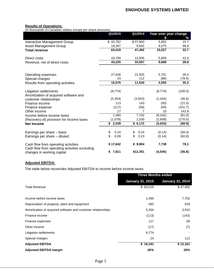## **Results of Operations:**

(in thousands of Canadian dollars except per share amounts)

|                                                                             | Q1/2015<br>Q1/2014 |                    | Year over year change |         |  |
|-----------------------------------------------------------------------------|--------------------|--------------------|-----------------------|---------|--|
|                                                                             |                    |                    | \$                    | ℅       |  |
| Interactive Management Group                                                | \$43,752           | \$37,800           | 5,952                 | 15.7    |  |
| <b>Asset Management Group</b>                                               | 19,267             | 9,692              | 9,575                 | 98.8    |  |
| <b>Total revenue</b>                                                        | 63,019             | 47,492             | 15,527                | 32.7    |  |
| Direct costs                                                                | 19,794             | 13,935             | 5,859                 | 42.0    |  |
| Revenue, net of direct costs                                                | 43,225             | 33,557             | 9,668                 | 28.8    |  |
|                                                                             |                    |                    |                       |         |  |
| Operating expenses                                                          | 27,626             | 21,925             | 5,701                 | 26.0    |  |
| Special charges                                                             | 24                 | 112                | (88)                  | (78.6)  |  |
| Results from operating activities                                           | 15,575             | 11,520             | 4,055                 | 35.2    |  |
| <b>Litigation settlements</b>                                               | (8,774)            |                    | (8,774)               | (100.0) |  |
| Amortization of acquired software and                                       |                    |                    | (1, 444)              |         |  |
| customer relationships                                                      | (5, 354)           | (3,910)            |                       | (36.9)  |  |
| Finance income                                                              | 113                | 143                | (30)                  | (21.0)  |  |
| Finance expense                                                             | (117)              | (58)               | (59)                  | (101.7) |  |
| Other income                                                                | 17                 | 7                  | 10                    | 142.9   |  |
| Income before income taxes                                                  | 1,460              | 7,702              | (6, 242)              | (81.0)  |  |
| (Recovery of) provision for income taxes                                    | (1,079)            | 1,530              | (2,609)               | (170.5) |  |
| <b>Net Income</b>                                                           | $\sqrt{$}$ 2,539   | $\sqrt{6}$ , 6,172 | (3,633)               | (58.9)  |  |
| Earnings per share - basic                                                  | \$<br>0.10         | 0.24<br>\$         | (0.14)                | (58.3)  |  |
| Earnings per share - diluted                                                | \$<br>0.09         | \$<br>0.23         | (0.14)                | (60.9)  |  |
| Cash flow from operating activities                                         | \$17,642           | \$9,904            | 7,738                 | 78.1    |  |
| Cash flow from operating activities excluding<br>changes in working capital | 7,811<br>\$        | \$12,351           | (4, 540)              | (36.8)  |  |

# **Adjusted EBITDA:**

The table below reconciles Adjusted EBITDA to income before income taxes:

|                                                              | <b>Three Months ended</b> |                         |  |
|--------------------------------------------------------------|---------------------------|-------------------------|--|
|                                                              | <b>January 31, 2015</b>   | <b>January 31, 2014</b> |  |
| <b>Total Revenue</b>                                         | \$63,019                  | \$47,492                |  |
|                                                              |                           |                         |  |
| Income before income taxes                                   | 1,460                     | 7,702                   |  |
| Depreciation of property, plant and equipment                | 592                       | 529                     |  |
| Amortization of acquired software and customer relationships | 5,354                     | 3,910                   |  |
| Finance income                                               | (113)                     | (143)                   |  |
| Finance expenses                                             | 117                       | 58                      |  |
| Other income                                                 | (17)                      | (7)                     |  |
| Litigation settlements                                       | 8,774                     |                         |  |
| Special charges                                              | 24                        | 112                     |  |
| <b>Adjusted EBITDA</b>                                       | \$16,191                  | \$12,161                |  |
| <b>Adjusted EBITDA margin</b>                                | 26%                       | 26%                     |  |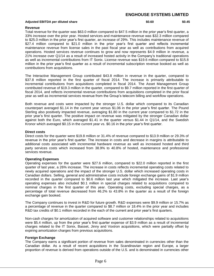# **ENGHOUSE SYSTEMS LIMITED**

#### **Adjusted EBITDA per diluted share \$0.60 \$0.45**

## **Revenue**

Total revenue for the quarter was \$63.0 million compared to \$47.5 million in the prior year's first quarter, a 33% increase over the prior year. Hosted services and maintenance revenue was \$32.3 million compared to \$25.0 million in the prior year's first quarter, an increase of 29%. This includes maintenance revenue of \$27.4 million compared to \$21.0 million in the prior year's first quarter and reflects incremental maintenance revenue from license sales in the past fiscal year as well as contributions from acquired operations. Hosted services revenue continues to grow and now represents \$4.9 million in revenue, a 21% increase over Q1/14 as a result of increased hosted activity in the Company's traditional operations as well as incremental contributions from IT Sonix. License revenue was \$19.6 million compared to \$15.8 million in the prior year's first quarter as a result of incremental subscription revenue booked as well as contributions from acquisitions.

The Interactive Management Group contributed \$43.8 million in revenue in the quarter, compared to \$37.8 million reported in the first quarter of fiscal 2014. The increase is primarily attributable to incremental contributions from acquisitions completed in fiscal 2014. The Asset Management Group contributed revenue of \$19.3 million in the quarter, compared to \$9.7 million reported in the first quarter of fiscal 2014, and reflects incremental revenue contributions from acquisitions completed in the prior fiscal year as well as incremental services revenue from the Group's telecom billing and workflow operations.

Both revenue and costs were impacted by the stronger U.S. dollar which compared to its Canadian counterpart averaged \$1.14 in the current year versus \$1.06 in the prior year's first quarter. The Pound Sterling also positively impacted revenue, averaging \$1.80 in the current year compared to \$1.72 in the prior year's first quarter. The positive impact on revenue was mitigated by the stronger Canadian dollar against both the Euro, which averaged \$1.41 in the quarter versus \$1.44 in Q1/14, and the Swedish Kronor which averaged \$0.15 in the current year vs. \$0.16 in the prior year's first quarter.

## **Direct costs**

Direct costs for the quarter were \$19.8 million or 31.4% of revenue compared to \$13.9 million or 29.3% of revenue in the prior year's first quarter. The increase in costs and decrease in margins is attributable to additional costs associated with incremental hardware revenue as well as increased hosted and third party services costs which increased from 38.9% to 40.8% of hosted, maintenance and professional services revenue.

## **Operating Expenses**

Operating expenses for the quarter were \$27.6 million, compared to \$22.0 million reported in the first quarter of last year, a 26% increase. The increase in costs reflects incremental operating costs related to newly acquired operations and the impact of the stronger U.S. dollar which increased operating costs in Canadian dollars. Selling, general and administrative costs include foreign exchange gains of \$1.9 million recorded in the quarter compared to \$0.6 million last year which mitigated the increase. Last year's operating expenses also included \$0.1 million in special charges related to acquisitions compared to nominal charges in the first quarter of this year. Operating costs, excluding special charges, as a percentage of total revenue decreased from 46.2% to 43.8% in the quarter as a result of the foreign exchange gain booked.

The Company continues to invest in R&D for future growth. R&D expenses were \$9.9 million or 15.7% as a percentage of revenue in the quarter compared to \$8.7 million or 18.4% in the prior year and includes R&D tax credits of \$0.1 million recorded in the each of the current and prior year's first quarters.

Non-cash charges for amortization of acquired software and customer relationships related to acquisitions were \$5.4 million, up from the prior year's first quarter expense of \$3.9 million as a result of incremental charges related to the IT Sonix, Basset, Jinny and Voxtron acquisitions, which were partially offset by expiring amortization charges from previous acquisitions.

## **Foreign Exchange**

The Company earns a significant portion of revenue from sales denominated in currencies other than the Canadian dollar. As a result of recent acquisitions in the Scandinavian region and Europe, a larger proportion of revenue is derived from operations outside of the U.S. and is denominated in currencies other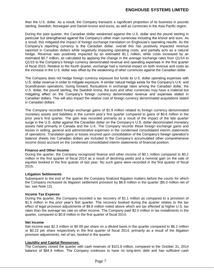than the U.S. dollar. As a result, the Company transacts a significant proportion of its business in pounds sterling, Swedish, Norwegian and Danish kronor and euros, as well as currencies in the Asia Pacific region.

During the past quarter, the Canadian dollar weakened against the U.S. dollar and the pound sterling in particular but strengthened against the Company's other main currencies including the kronor and euro. As a result, this mitigated the impact of foreign exchange translation on Enghouse's operating results. As the Company's reporting currency is the Canadian dollar, overall this has positively impacted revenue reported in Canadian dollars while negatively impacting operating costs, and partially acts as a natural hedge. Revenue was positively impacted by an estimated \$1.1 million, while costs increased by an estimated \$0.7 million, as calculated by applying the change in the average exchange rates from Q1/14 to Q1/15 to the Company's foreign currency denominated revenue and operating expenses in the first quarter of fiscal 2015. Relative to the fourth quarter, exchange had a nominal impact on both revenue and costs as the increase in the U.S. dollar was offset by the weakening of other currencies against the Canadian dollar.

The Company does not hedge foreign currency exposure but funds its U.S. dollar operating expenses with U.S. dollar revenue in order to mitigate exposure. A similar natural hedge exists for the Company's U.K. and Scandinavian operations. Going forward, fluctuations in exchange rates among the Canadian dollar, the U.S. dollar, the pound sterling, the Swedish krona, the euro and other currencies may have a material but mitigating effect on the Company's foreign currency denominated revenue and expenses stated in Canadian dollars. This will also impact the relative cost of foreign currency denominated acquisitions stated in Canadian dollars.

The Company recorded foreign exchange gains of \$1.9 million related to foreign currency denominated monetary assets and liabilities in the current year's first quarter compared to gains of \$0.6 million in the prior year's first quarter. The gain was recorded primarily as a result of the impact of the late quarter surge in the U.S. dollar against the Canadian dollar on the Company's U.S. dollar denominated monetary assets held primarily in Canada and the U.K. The Company records these foreign exchange gains and losses in selling, general and administrative expenses in the condensed consolidated interim statements of operations. Translation gains or losses incurred upon consolidation of the Company's foreign operation's balance sheets into Canadian dollars are included in the Company's accumulated other comprehensive income (loss) account on the condensed consolidated interim statements of financial position.

## **Finance and Other Income**

During the quarter, the Company recognized finance and other income of \$0.1 million compared to \$0.2 million in the first quarter of fiscal 2014 as a result of declining yields and a nominal gain on the sale of equities booked in the first quarter of last year. No such gains were recorded in the first quarter of fiscal 2015.

## **Litigation Settlements**

Subsequent to the end of the quarter the Company finalized litigation matters before the courts for which the Company increased its litigation settlement provision by \$8.8 million in the quarter (\$5.0 million net of tax- see Note 12).

## **Income Tax Expense**

During the quarter, the Company recorded a tax recovery of \$1.1 million as compared to a provision of \$1.5 million in the prior year's first quarter. The recovery booked during the quarter relates to the tax effect of legal provision adjustments of \$8.8 million noted above which are tax effected at higher U.S. tax rates than the average tax rate on other income. The Company paid \$2.0 million in tax installments in the quarter, compared to \$0.8 million in the first quarter of fiscal 2014.

## **Net Income**

Net income was \$2.3 million or \$0.09 per share on a diluted basis in the quarter compared to \$6.2 million or \$0.23 per share respectively in the first quarter of fiscal 2014, primarily as a result of the litigation provision adjustments, net of tax, booked in the quarter.

#### **Liquidity and Capital Resources:**

The Company closed the quarter with cash reserves of \$101.8 million, compared to the October 31, 2014 balance of \$84.9 million. The Company continues to have no long-term debt and has sufficient cash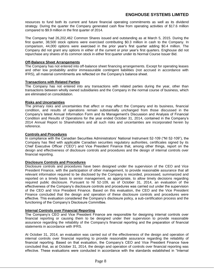# **ENGHOUSE SYSTEMS LIMITED**

resources to fund both its current and future financial operating commitments as well as its dividend strategy. During the quarter the Company generated cash flow from operating activities of \$17.6 million compared to \$9.9 million in the first quarter of 2014.

The Company had 26,202,462 Common Shares issued and outstanding as at March 5, 2015. During the first quarter, 38,500 stock options were exercised contributing \$0.3 million in cash to the Company. In comparison, 44,000 options were exercised in the prior year's first quarter adding \$0.4 million. The Company did not grant any options in either of the current or prior year's first quarters. Enghouse did not repurchase any shares of its common stock in either first quarter under its Normal Course Issuer Bid.

# **Off-Balance Sheet Arrangements**

The Company has not entered into off-balance sheet financing arrangements. Except for operating leases and other low probability and/or immeasurable contingent liabilities (not accrued in accordance with IFRS), all material commitments are reflected on the Company's balance sheet.

# **Transactions with Related Parties**

The Company has not entered into any transactions with related parties during the year, other than transactions between wholly owned subsidiaries and the Company in the normal course of business, which are eliminated on consolidation.

# **Risks and Uncertainties**

The primary risks and uncertainties that affect or may affect the Company and its business, financial condition, and results of operations remain substantially unchanged from those discussed in the Company's latest Annual Information Form and its Management's Discussion and Analysis of Financial Condition and Results of Operations for the year ended October 31, 2014, contained in the Company's 2014 Annual Report to Shareholders and all such risks and uncertainties are incorporated herein by reference.

# **Controls and Procedures**

In compliance with the Canadian Securities Administrators' National Instrument 52-109 ("NI 52-109"), the Company has filed with applicable Canadian securities regulatory authorities, certificates signed by its Chief Executive Officer ("CEO") and Vice President Finance that, among other things, report on the design and effectiveness of disclosure controls and procedures and the design of internal controls over financial reporting.

## **Disclosure Controls and Procedures**

Disclosure controls and procedures have been designed under the supervision of the CEO and Vice President Finance, with the participation of other management, to provide reasonable assurance that all relevant information required to be disclosed by the Company is recorded, processed, summarized and reported on a timely basis to senior management, as appropriate, to allow timely decisions regarding required public disclosure. Pursuant to NI 52-109, as of October 31, 2014, an evaluation of the effectiveness of the Company's disclosure controls and procedures was carried out under the supervision of the CEO and Vice President Finance. Based on this evaluation, the CEO and the Vice President Finance concluded that the design and operation of these disclosure controls and procedures were effective. This evaluation considered the Company's disclosure policy, a sub-certification process and the functioning of the Company's Disclosure Committee.

## **Internal Controls over Financial Reporting**

The Company's CEO and Vice President Finance are responsible for designing internal controls over financial reporting or causing them to be designed under their supervision to provide reasonable assurance regarding the reliability of the Company's financial reporting and the preparation of financial statements in accordance with IFRS.

At October 31, 2014, an evaluation was carried out of the effectiveness of the design and operation of internal controls over financial reporting to provide reasonable assurance regarding the reliability of financial reporting. Based on that evaluation, the Company's CEO and Vice President Finance have concluded that, as at October 31, 2014, the design and operation of controls over financial reporting was effective. These evaluations were conducted in accordance with the standards established in "Internal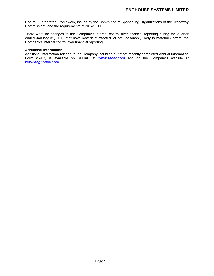Control – Integrated Framework, issued by the Committee of Sponsoring Organizations of the Treadway Commission", and the requirements of NI 52-109.

There were no changes to the Company's internal control over financial reporting during the quarter ended January 31, 2015 that have materially affected, or are reasonably likely to materially affect, the Company's internal control over financial reporting.

# **Additional Information**

Additional information relating to the Company including our most recently completed Annual Information Form ("AIF") is available on SEDAR at *[www.sedar.com](http://www.sedar.com/)* and on the Company's website at *[www.enghouse.com](http://www.enghouse.com/)*.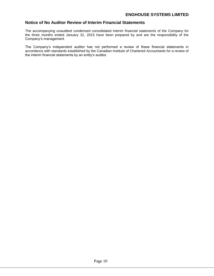# **Notice of No Auditor Review of Interim Financial Statements**

The accompanying unaudited condensed consolidated interim financial statements of the Company for the three months ended January 31, 2015 have been prepared by and are the responsibility of the Company's management.

The Company's independent auditor has not performed a review of these financial statements in accordance with standards established by the Canadian Institute of Chartered Accountants for a review of the interim financial statements by an entity's auditor.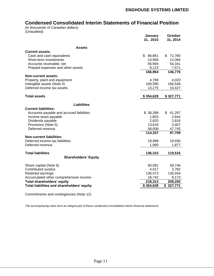# **Condensed Consolidated Interim Statements of Financial Position**

*(in thousands of Canadian dollars)* (Unaudited)

|                                            | January<br>31, 2015 | October<br>31, 2014 |
|--------------------------------------------|---------------------|---------------------|
| Assets                                     |                     |                     |
| <b>Current assets:</b>                     |                     |                     |
| Cash and cash equivalents                  | \$86,891            | \$72,780            |
| Short-term investments                     | 14,956              | 12,084              |
| Accounts receivable, net                   | 56,994              | 54,341              |
| Prepaid expenses and other assets          | 8,123               | 7,571               |
|                                            | 166,964             | 146,776             |
| Non-current assets:                        |                     |                     |
| Property, plant and equipment              | 4,799               | 4,020               |
| Intangible assets (Note 4)                 | 169,590             | 166,548             |
| Deferred income tax assets                 | 13,275              | 10,427              |
| <b>Total assets</b>                        | \$354,628           | \$327,771           |
| <b>Liabilities</b>                         |                     |                     |
| <b>Current liabilities:</b>                |                     |                     |
| Accounts payable and accrued liabilities   | \$38,289            | \$41,297            |
| Income taxes payable                       | 1,803               | 2,644               |
| Dividends payable                          | 2,620               | 2,616               |
| Provisions (Note 5)                        | 13,619              | 3,407               |
| Deferred revenue                           | 58,006              | 47,745              |
|                                            | 114,337             | 97,709              |
| <b>Non-current liabilities:</b>            |                     |                     |
| Deferred income tax liabilities            | 19,988              | 19,930              |
| Deferred revenue                           | 1,990               | 1,877               |
| <b>Total liabilities</b>                   | 136,315             | 119,516             |
| <b>Shareholders' Equity</b>                |                     |                     |
|                                            |                     |                     |
| Share capital (Note 6)                     | 60,081              | 59,746              |
| Contributed surplus                        | 4,017               | 3,782               |
| Retained earnings                          | 135,473             | 135,554             |
| Accumulated other comprehensive income     | 18,742              | 9,173               |
| Total shareholders' equity                 | 218,313             | 208,255             |
| Total liabilities and shareholders' equity | \$354,628           | \$327,771           |
|                                            |                     |                     |

Commitments and contingencies (Note 12)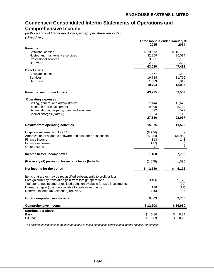# **Condensed Consolidated Interim Statements of Operations and Comprehensive Income**

*(in thousands of Canadian dollars, except per share amounts) (Unaudited)*

|                                                                                                                                        | Three months ended January 31, |              |
|----------------------------------------------------------------------------------------------------------------------------------------|--------------------------------|--------------|
| <b>Revenue</b>                                                                                                                         | 2015                           | 2014         |
| Software licenses                                                                                                                      | \$19,612                       | \$15,763     |
| Hosted and maintenance services                                                                                                        | 32,259                         | 25,014       |
| Professional services                                                                                                                  | 8,921                          | 5,132        |
| Hardware                                                                                                                               | 2,227                          | 1,583        |
|                                                                                                                                        | 63,019                         | 47,492       |
| <b>Direct costs</b>                                                                                                                    |                                |              |
| Software licenses                                                                                                                      | 1,677                          | 1,200        |
| <b>Services</b>                                                                                                                        | 16,784                         | 11,716       |
| Hardware                                                                                                                               | 1,333                          | 1,019        |
|                                                                                                                                        | 19,794                         | 13,935       |
| Revenue, net of direct costs                                                                                                           | 43,225                         | 33,557       |
|                                                                                                                                        |                                |              |
| <b>Operating expenses</b><br>Selling, general and administrative                                                                       | 17,144                         | 12,676       |
| Research and development                                                                                                               | 9,890                          | 8,720        |
| Depreciation of property, plant and equipment                                                                                          | 592                            | 529          |
| Special charges (Note 5)                                                                                                               | 24                             | 112          |
|                                                                                                                                        | 27,650                         | 22,037       |
|                                                                                                                                        |                                |              |
| <b>Results from operating activities</b>                                                                                               | 15,575                         | 11,520       |
| Litigation settlements (Note 12)                                                                                                       | (8,774)                        |              |
| Amortization of acquired software and customer relationships                                                                           | (5, 354)                       | (3,910)      |
| Finance income                                                                                                                         | 113                            | 143          |
| Finance expenses                                                                                                                       | (117)                          | (58)         |
| Other income                                                                                                                           | 17                             | 7            |
| Income before income taxes                                                                                                             | 1,460                          | 7,702        |
| (Recovery of) provision for income taxes (Note 8)                                                                                      | (1,079)                        | 1,530        |
| Net income for the period                                                                                                              | \$<br>2,539                    | \$<br>6,172  |
|                                                                                                                                        |                                |              |
| Items that are or may be reclassified subsequently to profit or loss:                                                                  |                                |              |
| Foreign currency translation gain from foreign operations                                                                              | 9,406                          | 9,770        |
| Transfer to net income of realized gains on available for sale investments<br>Unrealized gain (loss) on available for sale investments | 188                            | (20)<br>(17) |
| Deferred income tax (expense) recovery                                                                                                 | (25)                           | 5            |
|                                                                                                                                        |                                |              |
| Other comprehensive income                                                                                                             | 9,569                          | 9,738        |
| <b>Comprehensive income</b>                                                                                                            | \$12,108                       | \$15,910     |
| Earnings per share                                                                                                                     |                                |              |
| Basic                                                                                                                                  | \$<br>0.10                     | \$<br>0.24   |
| Diluted                                                                                                                                | \$<br>0.09                     | \$<br>0.23   |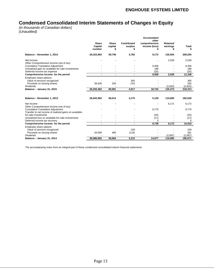# **Condensed Consolidated Interim Statements of Changes in Equity**

*(in thousands of Canadian dollars) (Unaudited)*

|                                                                                                    |                             |                              |                             | <b>Accumulated</b>                      |                      |                   |
|----------------------------------------------------------------------------------------------------|-----------------------------|------------------------------|-----------------------------|-----------------------------------------|----------------------|-------------------|
|                                                                                                    | Share<br>Capital<br>-number | <b>Share</b><br>capital<br>S | Contributed<br>surplus<br>S | other<br>comprehensive<br>income (loss) | Retained<br>earnings | <b>Total</b><br>S |
| Balance - November 1, 2014                                                                         | 26,163,962                  | 59,746                       | 3,782                       | 9,173                                   | 135,554              | 208,255           |
| Net income<br>Other Comprehensive Income (net of tax):                                             |                             |                              |                             |                                         | 2,539                | 2,539             |
| <b>Cumulative Translation Adjustment</b>                                                           |                             |                              |                             | 9,406                                   |                      | 9,406             |
| Unrealized gain on available-for-sale investments                                                  |                             |                              |                             | 188                                     |                      | 188               |
| Deferred income tax expense                                                                        |                             |                              |                             | (25)                                    |                      | (25)              |
| Comprehensive income for the period                                                                |                             | $\blacksquare$               |                             | 9,569                                   | 2,539                | 12,108            |
| Employee share options:<br>Value of services recognized                                            |                             |                              | 305                         |                                         |                      | 305               |
| Proceeds on issuing shares                                                                         | 38,500                      | 335                          | (70)                        |                                         |                      | 265               |
| <b>Dividends</b>                                                                                   |                             |                              |                             |                                         | (2,620)              | (2,620)           |
| Balance - January 31, 2015                                                                         | 26,202,462                  | 60,081                       | 4,017                       | 18,742                                  | 135,473              | 218,313           |
|                                                                                                    |                             |                              |                             |                                         |                      |                   |
| Balance - November 1, 2013                                                                         | 26,042,962                  | 58,514                       | 3,175                       | 5,139                                   | 115,800              | 182,628           |
| Net income<br>Other Comprehensive Income (net of tax):                                             |                             |                              |                             |                                         | 6,172                | 6,172             |
| <b>Cumulative Translation Adjustment</b><br>Transfer to net income of realized gains on available- |                             |                              |                             | 9,770                                   |                      | 9,770             |
| for-sale investments                                                                               |                             |                              |                             | (20)                                    |                      | (20)              |
| Unrealized loss on available-for-sale investments                                                  |                             |                              |                             | (17)                                    |                      | (17)              |
| Deferred income tax recovery                                                                       |                             |                              |                             | 5                                       |                      | 5                 |
| Comprehensive income for the period                                                                |                             |                              |                             | 9,738                                   | 6,172                | 15,910            |
| Employee share options:                                                                            |                             |                              |                             |                                         |                      |                   |
| Value of services recognized                                                                       |                             |                              | 159                         |                                         |                      | 159               |
| Proceeds on issuing shares                                                                         | 44,000                      | 480                          | (119)                       |                                         |                      | 361               |
| <b>Dividends</b>                                                                                   |                             |                              |                             |                                         | (2,087)              | (2,087)           |
| Balance - January 31, 2014                                                                         | 26,086,962                  | 58,994                       | 3,215                       | 14,877                                  | 119,885              | 196,971           |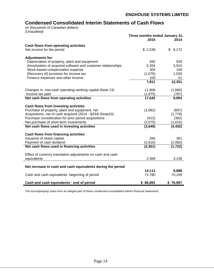# **Condensed Consolidated Interim Statements of Cash Flows**

(*in thousands of Canadian dollars) (Unaudited)*

|                                                              | Three months ended January 31,<br>2015 | 2014        |
|--------------------------------------------------------------|----------------------------------------|-------------|
| Cash flows from operating activities                         |                                        |             |
| Net income for the period                                    | \$2,539                                | 6,172<br>\$ |
| <b>Adjustments for:</b>                                      |                                        |             |
| Depreciation of property, plant and equipment                | 592                                    | 529         |
| Amortization of acquired software and customer relationships | 5,354                                  | 3,910       |
| Stock-based compensation expense                             | 305                                    | 159         |
| (Recovery of) provision for income tax                       | (1,079)                                | 1,530       |
| Finance expenses and other income                            | 100                                    | 51          |
|                                                              | 7,811                                  | 12,351      |
| Changes in non-cash operating working capital (Note 13)      | 11,806                                 | (1,660)     |
| Income tax paid                                              | (1, 975)                               | (787)       |
| Net cash flows from operating activities                     | 17,642                                 | 9,904       |
| Cash flows from investing activities                         |                                        |             |
| Purchase of property, plant and equipment, net               | (1,062)                                | (657)       |
| Acquisitions, net of cash acquired (2014 - \$334) (Note10)   |                                        | (1,778)     |
| Purchase consideration for prior period acquisitions         | (412)                                  | (382)       |
| Net purchase of short-term investments                       | (2,075)                                | (1,615)     |
| Net cash flows used in investing activities                  | (3, 549)                               | (4, 432)    |
| Cash flows from financing activities                         |                                        |             |
| Issuance of share capital                                    | 265                                    | 361         |
| Payment of cash dividend                                     | (2,616)                                | (2,083)     |
| Net cash flows used in financing activities                  | (2, 351)                               | (1, 722)    |
| Effect of currency translation adjustments on cash and cash  |                                        |             |
| equivalents                                                  | 2,369                                  | 3,138       |
| Net increase in cash and cash equivalents during the period  |                                        |             |
|                                                              | 14,111                                 | 6,888       |
| Cash and cash equivalents- beginning of period               | 72,780                                 | 70,109      |
| Cash and cash equivalents - end of period                    | \$86,891                               | \$76,997    |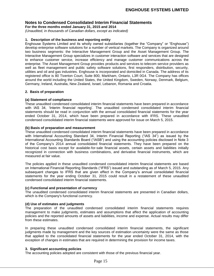**For the three months ended January 31, 2015 and 2014**

*(Unaudited, in thousands of Canadian dollars, except as indicated)*

# **1. Description of the business and reporting entity**

Enghouse Systems Limited and its wholly owned subsidiaries (together the "Company" or "Enghouse") develop enterprise software solutions for a number of vertical markets. The Company is organized around two business segments: the Interactive Management Group and the Asset Management Group. The Interactive Management Group specializes in customer interaction software and services that are designed to enhance customer service, increase efficiency and manage customer communications across the enterprise. The Asset Management Group provides products and services to telecom service providers as well as fleet management and public safety software solutions, first responders, distribution, security, utilities and oil and gas industries. Enghouse is incorporated and domiciled in Canada. The address of its registered office is 80 Tiverton Court, Suite 800, Markham, Ontario, L3R 0G4. The Company has offices around the world including the United States, the United Kingdom, Sweden, Norway, Denmark, Belgium, Germany, Ireland, Australia, New Zealand, Israel, Lebanon, Romania and Croatia.

# **2. Basis of preparation**

# **(a) Statement of compliance**

These unaudited condensed consolidated interim financial statements have been prepared in accordance with IAS 34, 'Interim financial reporting'. The unaudited condensed consolidated interim financial statements should be read in conjunction with the annual consolidated financial statements for the year ended October 31, 2014, which have been prepared in accordance with IFRS. These unaudited condensed consolidated interim financial statements were approved for issue on March 5, 2015.

## **(b) Basis of preparation and measurement**

These unaudited condensed consolidated interim financial statements have been prepared in accordance with International Accounting Standard 34, Interim Financial Reporting ("IAS 34") as issued by the International Accounting Standards Board ("IASB") and using the accounting policies disclosed in Note 3 of the Company's 2014 annual consolidated financial statements. They have been prepared on the historical cost basis except for available-for-sale financial assets, certain assets and liabilities initially recognized in connection with business combinations, and derivative financial instruments, which are measured at fair value.

The policies applied in these unaudited condensed consolidated interim financial statements are based on International Financial Reporting Standards ("IFRS") issued and outstanding as of March 5, 2015. Any subsequent changes to IFRS that are given effect in the Company's annual consolidated financial statements for the year ending October 31, 2015 could result in a restatement of these unaudited condensed consolidated interim financial statements.

# **(c) Functional and presentation of currency**

The unaudited condensed consolidated interim financial statements are presented in Canadian dollars, which is the Company's functional currency.

# **(d) Use of estimates and judgments**

The preparation of the unaudited condensed consolidated interim financial statements requires management to make judgments, estimates and assumptions that affect the application of accounting policies and the reported amounts of assets and liabilities, income and expense. Actual results may differ from these estimates.

In preparing these unaudited condensed consolidated interim financial statements, the significant judgments made by management and the key sources of estimation uncertainty were the same as those that applied to the consolidated financial statements for the year ended October 31, 2014, with the exception of changes in estimates that are required in determining the provision for income taxes.

# **3. Significant accounting policies**

The accounting policies adopted are consistent with those of the previous financial year.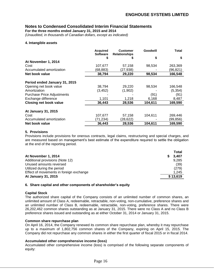**For the three months ended January 31, 2015 and 2014**

*(Unaudited, in thousands of Canadian dollars, except as indicated)*

#### **4. Intangible assets**

|                                   | <b>Acquired</b><br><b>Software</b> | <b>Customer</b><br><b>Relationships</b> | Goodwill | Total    |
|-----------------------------------|------------------------------------|-----------------------------------------|----------|----------|
|                                   |                                    |                                         | \$       | \$       |
| At November 1, 2014               |                                    |                                         |          |          |
| Cost                              | 107,677                            | 57,158                                  | 98,534   | 263,369  |
| Accumulated amortization          | (68,883)                           | (27, 938)                               |          | (96,821) |
| Net book value                    | 38,794                             | 29,220                                  | 98,534   | 166,548  |
| Period ended January 31, 2015     |                                    |                                         |          |          |
| Opening net book value            | 38,794                             | 29,220                                  | 98,534   | 166,548  |
| Amortization                      | (3, 452)                           | (1,902)                                 |          | (5, 354) |
| <b>Purchase Price Adjustments</b> |                                    |                                         | (91)     | (91)     |
| Exchange difference               | 1,101                              | 1,218                                   | 6,168    | 8,487    |
| <b>Closing net book value</b>     | 36,443                             | 28,536                                  | 104,611  | 169,590  |
| At January 31, 2015               |                                    |                                         |          |          |
| Cost                              | 107,677                            | 57,158                                  | 104.611  | 269,446  |
| Accumulated amortization          | (71,234)                           | (28.622)                                |          | (99,856) |
| Net book value                    | 36,443                             | 28,536                                  | 104,611  | 169,590  |

## **5. Provisions**

Provisions include provisions for onerous contracts, legal claims, restructuring and special charges, and are measured based on management's best estimate of the expenditure required to settle the obligation at the end of the reporting period.

|                                         |    | Total    |
|-----------------------------------------|----|----------|
| At November 1, 2014                     | S. | 3,407    |
| Additional provisions (Note 12)         |    | 9.285    |
| Unused amounts reversed                 |    | (39)     |
| Utilized during the period              |    | (279)    |
| Effect of movements in foreign exchange |    | 1.245    |
| At January 31, 2015                     |    | \$13,619 |

## **6. Share capital and other components of shareholder's equity**

## **Capital Stock**

The authorized share capital of the Company consists of an unlimited number of common shares, an unlimited amount of Class A, redeemable, retractable, non-voting, non-cumulative, preference shares and an unlimited number of Class B, redeemable, retractable, non-voting, preference shares. There were 26,202,462 common shares outstanding as at January 31, 2015. There were no Class A and no Class B preference shares issued and outstanding as at either October 31, 2014 or January 31, 2015.

## **Common share repurchase plan**

On April 16, 2014, the Company renewed its common share repurchase plan, whereby it may repurchase up to a maximum of 1,802,756 common shares of the Company, expiring on April 15, 2015. The Company did not repurchase any common shares in either the first quarter of fiscal 2015 or in fiscal 2014.

## **Accumulated other comprehensive income (loss)**

Accumulated other comprehensive income (loss) is comprised of the following separate components of equity: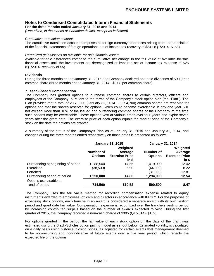**For the three months ended January 31, 2015 and 2014**

*(Unaudited, in thousands of Canadian dollars, except as indicated)*

## *Cumulative translation account*

The cumulative translation account comprises all foreign currency differences arising from the translation of the financial statements of foreign operations net of income tax recovery of \$341 (Q1/2014- \$153).

## *Unrealized gains/losses on available-for-sale financial assets*

Available-for-sale differences comprise the cumulative net change in the fair value of available-for-sale financial assets until the investments are derecognized or impaired net of income tax expense of \$25 (Q1/2014- recovery of \$5).

# **Dividends**

During the three months ended January 31, 2015, the Company declared and paid dividends of \$0.10 per common share (three months ended January 31, 2014 - \$0.08 per common share).

## **7. Stock-based Compensation**

The Company has granted options to purchase common shares to certain directors, officers and employees of the Company, pursuant to the terms of the Company's stock option plan (the "Plan"). The Plan provides that a total of 2,179,200 (January 31, 2014 – 2,294,700) common shares are reserved for options and that the shares reserved for options, which could become exercisable in any one year, will not exceed more than 10% of the issued and outstanding common shares of the Company at the time such options may be exercisable. These options vest at various times over four years and expire seven years after the grant date. The exercise price of each option equals the market price of the Company's stock on the date the options are granted.

A summary of the status of the Company's Plan as at January 31, 2015 and January 31, 2014, and changes during the three months ended respectively on those dates is presented as follows:

|                                    | <b>January 31, 2015</b> |                       |                | <b>January 31, 2014</b> |  |  |
|------------------------------------|-------------------------|-----------------------|----------------|-------------------------|--|--|
|                                    | Weighted                |                       |                | Weighted                |  |  |
|                                    | Number of               | Average               | Number of      | Average                 |  |  |
|                                    | <b>Options</b>          | <b>Exercise Price</b> | <b>Options</b> | <b>Exercise Price</b>   |  |  |
|                                    |                         | in \$                 |                | $in$ \$                 |  |  |
| Outstanding at beginning of period | 1,288,500               | 14.56                 | 1,419,000      | 12.42                   |  |  |
| Exercised                          | (38, 500)               | 6.90                  | (44,000)       | 8.22                    |  |  |
| Forfeited                          | ٠                       |                       | (81,000)       | 12.81                   |  |  |
| Outstanding at end of period       | 1,250,000               | 14.80                 | 1,294,000      | 12.54                   |  |  |
| Options exercisable at             |                         |                       |                |                         |  |  |
| end of period                      | 714,500                 | \$10.52               | 590,500        | 8.47                    |  |  |

The Company uses the fair value method for recording compensation expense related to equity instruments awarded to employees, officers and directors in accordance with IFRS 2. For the purposes of expensing stock options, each tranche in an award is considered a separate award with its own vesting period and grant date fair value. Compensation expense is recognized over the tranche's vesting period by increasing contributed surplus based on the number of awards expected to vest. During the first quarter of 2015, the Company recorded a non-cash charge of \$305 (Q1/2014 - \$159).

For options granted in the period, the fair value of each stock option on the date of the grant was estimated using the Black-Scholes option pricing model as set out below. Estimated volatility is calculated on a daily basis using historical closing prices, as adjusted for certain events that management deemed to be non-recurring and non-indicative of future events over a five year period, which reflects the expected life of the options.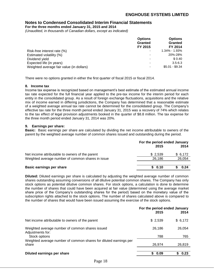**For the three months ended January 31, 2015 and 2014**

*(Unaudited, in thousands of Canadian dollars, except as indicated)*

|                                          | <b>Options</b><br><b>Granted</b> | <b>Options</b><br><b>Granted</b> |
|------------------------------------------|----------------------------------|----------------------------------|
|                                          | FY 2015                          | FY 2014                          |
| Risk-free interest rate (%)              |                                  | 1.34% - 1.93%                    |
| Estimated volatility (%)                 |                                  | 20%-28%                          |
| Dividend yield                           |                                  | \$0.40                           |
| Expected life (in years)                 |                                  | $3.5 - 6.3$                      |
| Weighted average fair value (in dollars) |                                  | $$5.01 - $9.34$                  |

There were no options granted in either the first quarter of fiscal 2015 or fiscal 2014.

# **8. Income tax**

Income tax expense is recognized based on management's best estimate of the estimated annual income tax rate expected for the full financial year applied to the pre-tax income for the interim period for each entity in the consolidated group. As a result of foreign exchange fluctuations, acquisitions and the relative mix of income earned in differing jurisdictions, the Company has determined that a reasonable estimate of a weighted average annual tax rate cannot be determined for the consolidated group. The Company's effective tax rate for the three month period ended January 31, 2015 was a recovery of 74% which relates to the tax effect of legal provision adjustments booked in the quarter of \$8.8 million. The tax expense for the three month period ended January 31, 2014 was 20%.

# **9. Earnings per share:**

**Basic:** Basic earnings per share are calculated by dividing the net income attributable to owners of the parent by the weighted average number of common shares issued and outstanding during the period.

|                                                                                                      | For the period ended January<br>2014<br>2015 |                   |  |
|------------------------------------------------------------------------------------------------------|----------------------------------------------|-------------------|--|
| Net income attributable to owners of the parent<br>Weighted average number of common shares in issue | \$2,539<br>26,186                            | \$6,172<br>26,054 |  |
| <b>Basic earnings per share</b>                                                                      | \$0.10                                       | 0.24              |  |

**Diluted:** Diluted earnings per share is calculated by adjusting the weighted average number of common shares outstanding assuming conversions of all dilutive potential common shares. The Company has only stock options as potential dilutive common shares. For stock options, a calculation is done to determine the number of shares that could have been acquired at fair value (determined using the average market share price of the Company's outstanding shares for the period) based on the monetary value of the subscription rights attached to the stock options. The number of shares calculated above is compared to the number of shares that would have been issued assuming the exercise of the stock options.

|                                                                                      | For the period ended January<br>2015 | 2014          |
|--------------------------------------------------------------------------------------|--------------------------------------|---------------|
| Net income attributable to owners of the parent                                      | \$2,539                              | \$6,172       |
| Weighted average number of common shares issued<br>Adjustments for:<br>Stock options | 26,186<br>788                        | 26,054<br>765 |
| Weighted average number of common shares for diluted earnings per<br>share           | 26,974                               | 26,819        |
| Diluted earnings per share                                                           | 0.09<br>\$                           | 0.23          |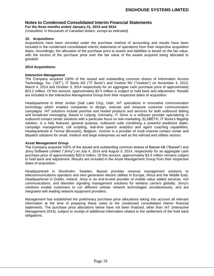**For the three months ended January 31, 2015 and 2014**

*(Unaudited, in thousands of Canadian dollars, except as indicated)*

## **10. Acquisitions**

Acquisitions have been recorded under the purchase method of accounting and results have been included in the condensed consolidated interim statements of operations from their respective acquisition dates. Accordingly, the allocation of the purchase price to assets and liabilities is based on the fair value, with the excess of the purchase price over the fair value of the assets acquired being allocated to goodwill.

#### **2014 Acquisitions:**

#### *Interactive Management*

The Company acquired 100% of the issued and outstanding common shares of Information Access Technology, Inc. ("IAT"), IT Sonix AG ("IT Sonix") and Voxtron NV ("Voxtron") on November 4, 2013, March 4, 2014 and October 3, 2014 respectively for an aggregate cash purchase price of approximately \$23.2 million. Of this amount, approximately \$2.5 million is subject to hold back and adjustment. Results are included in the Interactive Management Group from their respective dates of acquisition.

Headquartered in West Jordan (Salt Lake City), Utah, IAT specializes in innovative communication technology which enables companies to design, execute and measure customer communication campaigns. IAT solutions include premise and hosted products and services for both outbound dialing and broadcast messaging. Based in Leipzig, Germany, IT Sonix is a software provider specializing in outbound contact center solutions with a particular focus on tele-marketing. ELSBETH, IT Sonix's flagship solution, is a fully featured, general purpose, outbound suite combining a powerful predictive dialer, campaign management, call scripting, real-time speech analytics and agent coaching capabilities. Headquartered in Temse (Brussels), Belgium, Voxtron is a provider of multi‐channel contact center and dispatch solutions for small, medium and large enterprises as well as the railroad and utilities sectors.

## *Asset Management Group*

The Company acquired 100% of the issued and outstanding common shares of Basset AB ("Basset") and Jinny Software Limited ("Jinny") on July 4, 2014 and August 5, 2014, respectively for an aggregate cash purchase price of approximately \$20.6 million. Of this amount, approximately \$3.4 million remains subject to hold back and adjustment. Results are included in the Asset Management Group from their respective dates of acquisition.

Headquartered in Stockholm, Sweden, Basset provides revenue management solutions to telecommunications operators and next generation electric utilities in Europe, Africa and the Middle East. Headquartered in Dublin, Ireland, Jinny is an end-to-end provider of mobile value added services, rich communications, and diameter signaling management solutions for wireless carriers globally. Jinny's solutions enable customers to run different cellular network technologies simultaneously, and are integrated with leading network equipment providers.

Management has established the preliminary purchase price allocations taking into account all relevant information at the time of preparing these notes to the condensed consolidated interim financial statements. The purchase price allocations below have not been finalized, other than IAT (Interactive Management 2014), subject to receipt of additional information related to the settlement of the hold back obligations.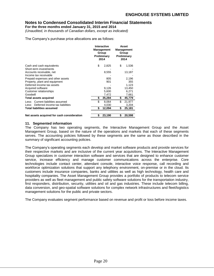**For the three months ended January 31, 2015 and 2014**

*(Unaudited, in thousands of Canadian dollars, except as indicated)*

The Company's purchase price allocations are as follows:

|                                            | <b>Interactive</b><br>Management<br>Group<br>Preliminary<br>2014 |     | Asset<br><b>Management</b><br>Group<br>Preliminary<br>2014 |
|--------------------------------------------|------------------------------------------------------------------|-----|------------------------------------------------------------|
| Cash and cash equivalents                  | \$<br>2,825                                                      | \$  | 1,536                                                      |
| Short-term investments                     |                                                                  |     |                                                            |
| Accounts receivable, net                   | 8,555                                                            |     | 13,187                                                     |
| Income tax receivable                      |                                                                  |     |                                                            |
| Prepaid expenses and other assets          | 805                                                              |     | 2,196                                                      |
| Property, plant and equipment              | 901                                                              |     | 355                                                        |
| Deferred income tax assets                 |                                                                  |     | 1,123                                                      |
| Acquired software                          | 9,126                                                            |     | 13,450                                                     |
| Customer relationships                     | 5,600                                                            |     | 6,271                                                      |
| Goodwill                                   | 7,472                                                            |     | 7,661                                                      |
| <b>Total assets acquired</b>               | 35,284                                                           | \$  | 45,779                                                     |
| Less: Current liabilities assumed          | \$<br>8,064                                                      | \$. | 21,977                                                     |
| Less: Deferred income tax liabilities      | 4,030                                                            |     | 3,204                                                      |
| <b>Total liabilities assumed</b>           | \$<br>12,094                                                     | S   | 25,181                                                     |
|                                            |                                                                  |     |                                                            |
| Net assets acquired for cash consideration | \$<br>23,190                                                     | \$  | 20,598                                                     |

# **11. Segmented information**

The Company has two operating segments, the Interactive Management Group and the Asset Management Group, based on the nature of the operations and markets that each of these segments serves. The accounting policies followed by these segments are the same as those described in the summary of significant accounting policies.

The Company's operating segments each develop and market software products and provide services for their respective markets and are inclusive of the current year acquisitions. The Interactive Management Group specializes in customer interaction software and services that are designed to enhance customer service, increase efficiency and manage customer communications across the enterprise. Core technologies include contact center, attendant console, interactive voice response, call recording and workforce optimization solutions that support any telephony environment, on-premise or in the cloud. Its customers include insurance companies, banks and utilities as well as high technology, health care and hospitality companies. The Asset Management Group provides a portfolio of products to telecom service providers as well as fleet management and public safety software solutions for the transportation industry, first responders, distribution, security, utilities and oil and gas industries. These include telecom billing, data conversion, and geo-spatial software solutions for complex network infrastructures and fleet/logistics management solutions for the public and private sectors.

The Company evaluates segment performance based on revenue and profit or loss before income taxes.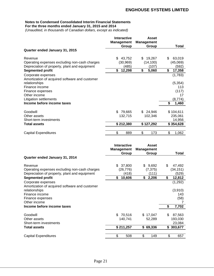## **Notes to Condensed Consolidated Interim Financial Statements For the three months ended January 31, 2015 and 2014**

*(Unaudited, in thousands of Canadian dollars, except as indicated)*

|                                                | <b>Interactive</b><br><b>Management</b> | Asset<br><b>Management</b> |              |
|------------------------------------------------|-----------------------------------------|----------------------------|--------------|
|                                                | Group                                   | Group                      | Total        |
| Quarter ended January 31, 2015                 |                                         |                            |              |
| Revenue                                        | \$<br>43,752                            | \$<br>19,267               | \$<br>63,019 |
| Operating expenses excluding non-cash charges  | (30,969)                                | (14, 100)                  | (45,069)     |
| Depreciation of property, plant and equipment  | (485)                                   | (107)                      | (592)        |
| <b>Segmented profit</b>                        | \$<br>12,298                            | \$<br>5,060                | \$<br>17,358 |
| Corporate expenses                             |                                         |                            | (1,783)      |
| Amortization of acquired software and customer |                                         |                            |              |
| relationships                                  |                                         |                            | (5, 354)     |
| Finance income                                 |                                         |                            | 113          |
| Finance expenses                               |                                         |                            | (117)        |
| Other income                                   |                                         |                            | 17           |
| <b>Litigation settlements</b>                  |                                         |                            | (8, 774)     |
| Income before income taxes                     |                                         |                            | \$<br>1,460  |
| Goodwill                                       | 79,665<br>\$                            | 24,946<br>\$.              | \$104,611    |
| Other assets                                   | 132,715                                 | 102,346                    | 235,061      |
| Short-term investments                         |                                         |                            | 14,956       |
| <b>Total assets</b>                            | \$212,380                               | \$127,292                  | \$354,628    |
| <b>Capital Expenditures</b>                    | \$<br>889                               | \$<br>173                  | \$<br>1,062  |

|                                                | <b>Interactive</b><br><b>Management</b> | Asset<br><b>Management</b> |              |
|------------------------------------------------|-----------------------------------------|----------------------------|--------------|
|                                                | Group                                   | Group                      | Total        |
| Quarter ended January 31, 2014                 |                                         |                            |              |
| Revenue                                        | 37,800<br>\$                            | \$9,692                    | \$<br>47,492 |
| Operating expenses excluding non-cash charges  | (26, 776)                               | (7, 375)                   | (34, 151)    |
| Depreciation of property, plant and equipment  | (418)                                   | (111)                      | (529)        |
| <b>Segmented profit</b>                        | \$<br>10,606                            | \$<br>2,206                | \$<br>12,812 |
| Corporate expenses                             |                                         |                            | (1,292)      |
| Amortization of acquired software and customer |                                         |                            |              |
| relationships                                  |                                         |                            | (3,910)      |
| Finance income                                 |                                         |                            | 143          |
| Finance expenses                               |                                         |                            | (58)         |
| Other income                                   |                                         |                            | 7            |
| Income before income taxes                     |                                         |                            | \$<br>7,702  |
| Goodwill                                       | \$70,516                                | \$17,047                   | \$<br>87,563 |
| Other assets                                   | 140,741                                 | 52,289                     | 193,030      |
| Short-term investments                         |                                         |                            | 23,084       |
| Total assets                                   | \$211,257                               | 69,336<br>\$               | \$303,677    |
|                                                |                                         |                            |              |
| <b>Capital Expenditures</b>                    | \$<br>508                               | \$<br>149                  | \$<br>657    |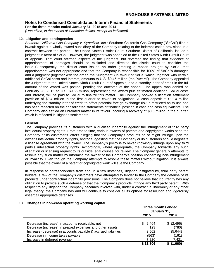**For the three months ended January 31, 2015 and 2014**

*(Unaudited, in thousands of Canadian dollars, except as indicated)*

## **12. Litigation and contingencies**

*Southern California Gas Company v. Syntellect, Inc.:* Southern California Gas Company ("SoCal") filed a lawsuit against a wholly owned subsidiary of the Company relating to the indemnification provisions in a contract between the parties. The United States District Court, Southern District of California, issued a judgment in favor of SoCal. However, the judgment was appealed to the United States Ninth Circuit Court of Appeals. That court affirmed aspects of the judgment, but reversed the finding that evidence of apportionment of damages should be excluded and directed the district court to consider the issue. Subsequently, the district court issued an order granting a motion brought by SoCal that apportionment was not appropriate and that the Company is responsible for 100% of SoCal's damages and a judgment (together with the order, the "Judgment") in favour of SoCal which, together with certain additional SoCal costs and interest, amounts to U.S. \$9.45 million (the "Award"). The Company appealed the Judgment to the United States Ninth Circuit Court of Appeals, and a standby letter of credit in the full amount of the Award was posted, pending the outcome of the appeal. The appeal was denied on February 23, 2015 so U.S. \$9.55 million, representing the Award plus estimated additional SoCal costs and interest, will be paid to SoCal to finalize this matter. The Company booked a litigation settlement provision of \$9.4 million in the first quarter to cover its obligations. A cash deposit of \$11.4 million underlying the standby letter of credit to offset potential foreign exchange risk is restricted as to use and has been reflected on the consolidated statements of financial position in cash and cash equivalents. The Company also settled an unrelated matter in its favour, booking a recovery of \$0.6 million in the quarter, which is reflected in litigation settlements.

# **General**

The Company provides its customers with a qualified indemnity against the infringement of third party intellectual property rights. From time to time, various owners of patents and copyrighted works send the Company or its customer's letters alleging that the Company's products do or might infringe upon the owner's intellectual property rights, and/or suggesting that the Company or its customers should negotiate a license agreement with the owner. The Company's policy is to never knowingly infringe upon any third party's intellectual property rights. Accordingly, where appropriate, the Company forwards any such allegation or licensing request to its outside legal counsel for review. The Company generally attempts to resolve any such matter by informing the owner of the Company's position concerning non-infringement or invalidity. Even though the Company attempts to resolve these matters without litigation, it is always possible that the owner of a patent or copyrighted work will sue the Company.

In response to correspondence from and, in a few instances, litigation instigated by, third party patent holders, a few of the Company's customers have attempted to tender to the Company the defense of its products under contractual indemnity provisions. The Company does not believe that it currently has any obligation to provide such a defense or that the Company's products infringe any third party patent. With respect to any litigation the Company becomes involved with, under a contractual indemnity or any other legal theory, the Company has and will continue to consider all its options for resolution and vigorously assert all appropriate defenses.

## **13. Changes in non-cash operating working capital**

|                                                               | Three months ended<br>January 31, |            |
|---------------------------------------------------------------|-----------------------------------|------------|
|                                                               | 2015                              | 2014       |
| Decrease (increase) in accounts receivable, net               | \$2,464                           | \$ (2,496) |
| Decrease (increase) in prepaid expenses and other assets      | 123                               | (780)      |
| Increase (decrease) in accounts payable & accrued liabilities | 2,562                             | (5,644)    |
| Decrease in income taxes payable                              | (563)                             | (161)      |
| Increase in deferred revenue                                  | 7.220                             | 7,421      |
|                                                               | \$11,806                          | (1,660)    |